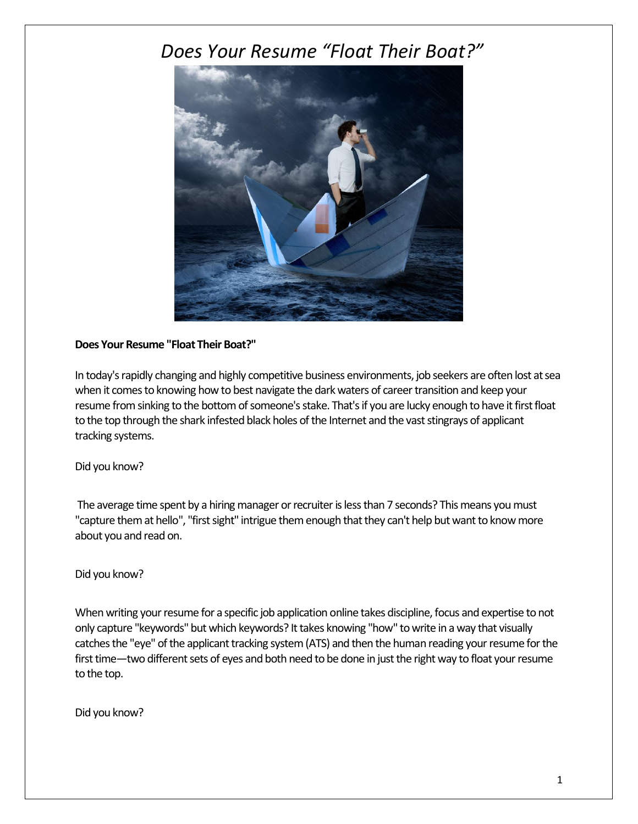# *Does Your Resume "Float Their Boat?"*



## **Does Your Resume "Float Their Boat?"**

In today's rapidly changing and highly competitive business environments, job seekers are often lost at sea when it comes to knowing how to best navigate the dark waters of career transition and keep your resume from sinking to the bottom of someone's stake. That's if you are lucky enough to have it first float to the top through the shark infested black holes of the Internet and the vast stingrays of applicant tracking systems.

## Did you know?

The average time spent by a hiring manager or recruiter is less than 7 seconds? This means you must "capture them at hello", "first sight" intrigue them enough that they can't help but want to know more about you and read on.

### Did you know?

When writing your resume for a specific job application online takes discipline, focus and expertise to not only capture "keywords" but which keywords? It takes knowing "how" to write in a way that visually catches the "eye" of the applicant tracking system (ATS) and then the human reading your resume for the first time—two different sets of eyes and both need to be done in just the right way to float your resume to the top.

Did you know?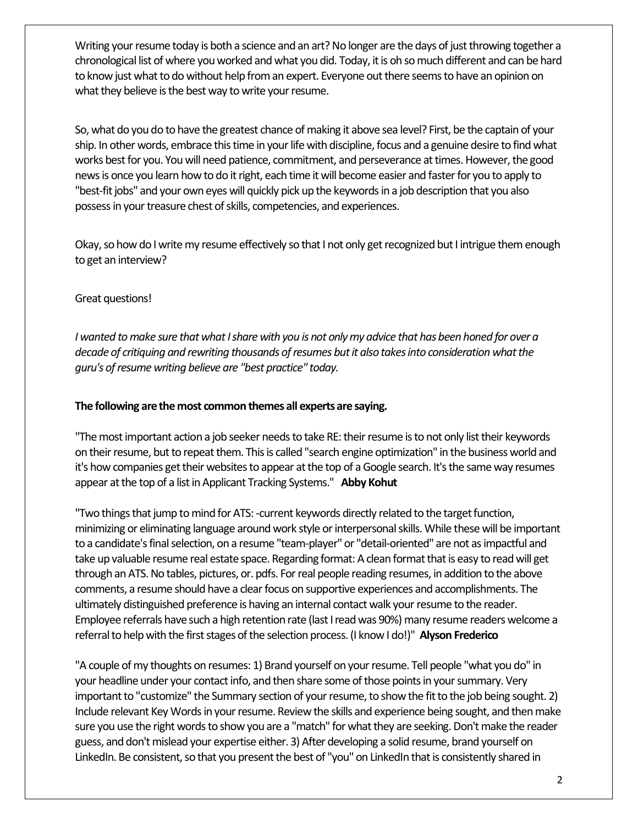Writing your resume today is both a science and an art? No longer are the days of just throwing together a chronological list of where you worked and what you did. Today, it is oh so much different and can be hard to know just what to do without help from an expert. Everyone out there seems to have an opinion on what they believe is the best way to write your resume.

So, what do you do to have the greatest chance of making it above sea level? First, be the captain of your ship. In other words, embrace this time in your life with discipline, focus and a genuine desire to find what works best for you. You will need patience, commitment, and perseverance at times. However, the good news is once you learn how to do it right, each time it will become easier and faster for you to apply to "best-fit jobs" and your own eyes will quickly pick up the keywords in a job description that you also possess in your treasure chest of skills, competencies, and experiences.

Okay, so how do I write my resume effectively so that I not only get recognized but I intrigue them enough to get an interview?

## Great questions!

*I wanted to make sure that what I share with you is not only my advice that has been honed for over a decade of critiquing and rewriting thousands of resumes but it also takes into consideration what the guru's of resume writing believe are "best practice" today.* 

#### **The following are the most common themes all experts are saying.**

"The most important action a job seeker needs to take RE: theirresume is to not only list their keywords on their resume, but to repeat them. This is called "search engine optimization" in the business world and it's how companies get their websites to appear at the top of a Google search. It's the same way resumes appear at the top of a list in Applicant Tracking Systems." **Abby Kohut**

"Two things that jump to mind for ATS: -current keywords directly related to the target function, minimizing or eliminating language around work style or interpersonal skills. While these will be important to a candidate's final selection, on a resume "team-player" or "detail-oriented" are not as impactful and take up valuable resume real estate space. Regarding format: A clean format that is easy to read will get through an ATS. No tables, pictures, or. pdfs. For real people reading resumes, in addition to the above comments, a resume should have a clear focus on supportive experiences and accomplishments. The ultimately distinguished preference is having an internal contact walk your resume to the reader. Employee referrals have such a high retention rate (last I read was 90%) many resume readers welcome a referral to help with the first stages of the selection process. (I know I do!)" **Alyson Frederico**

"A couple of my thoughts on resumes: 1) Brand yourself on your resume. Tell people "what you do" in your headline under your contact info, and then share some of those points in your summary. Very important to "customize" the Summary section of your resume, to show the fit to the job being sought. 2) Include relevant Key Words in your resume. Review the skills and experience being sought, and then make sure you use the right words to show you are a "match" for what they are seeking. Don't make the reader guess, and don't mislead your expertise either. 3) After developing a solid resume, brand yourself on LinkedIn. Be consistent, so that you present the best of "you" on LinkedIn that is consistently shared in